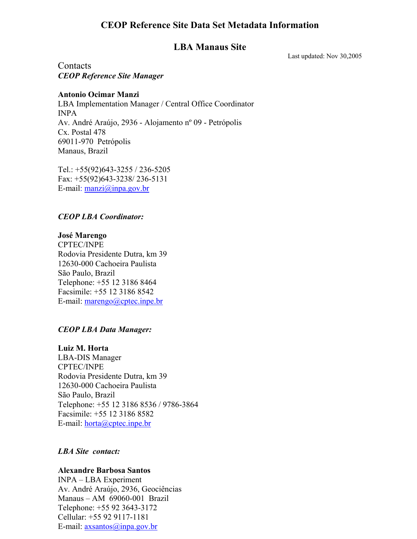## **CEOP Reference Site Data Set Metadata Information**

### **LBA Manaus Site**

Last updated: Nov 30,2005

**Contacts** *CEOP Reference Site Manager* 

#### **Antonio Ocimar Manzi**

LBA Implementation Manager / Central Office Coordinator INPA Av. André Araújo, 2936 - Alojamento nº 09 - Petrópolis Cx. Postal 478 69011-970 Petrópolis Manaus, Brazil

Tel.: +55(92)643-3255 / 236-5205 Fax: +55(92)643-3238/ 236-5131 E-mail:  $manzi@inpa.gov.br$ 

#### *CEOP LBA Coordinator:*

**José Marengo**  CPTEC/INPE Rodovia Presidente Dutra, km 39 12630-000 Cachoeira Paulista São Paulo, Brazil Telephone: +55 12 3186 8464 Facsimile: +55 12 3186 8542 E-mail: marengo@cptec.inpe.br

#### *CEOP LBA Data Manager:*

**Luiz M. Horta**  LBA-DIS Manager CPTEC/INPE Rodovia Presidente Dutra, km 39 12630-000 Cachoeira Paulista São Paulo, Brazil Telephone: +55 12 3186 8536 / 9786-3864 Facsimile: +55 12 3186 8582 E-mail: horta@cptec.inpe.br

#### *LBA Site contact:*

#### **Alexandre Barbosa Santos**

INPA – LBA Experiment Av. André Araújo, 2936, Geociências Manaus – AM 69060-001 Brazil Telephone: +55 92 3643-3172 Cellular: +55 92 9117-1181 E-mail: axsantos@inpa.gov.br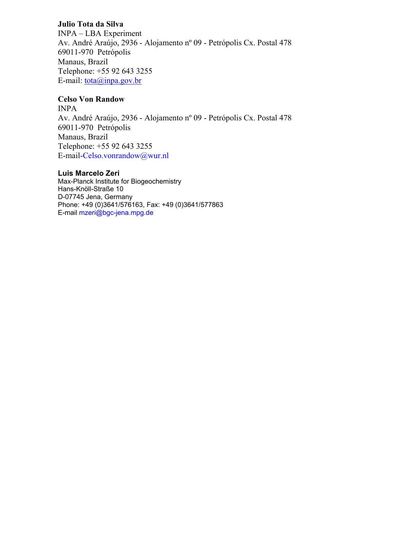#### **Julio Tota da Silva**

INPA – LBA Experiment Av. André Araújo, 2936 - Alojamento nº 09 - Petrópolis Cx. Postal 478 69011-970 Petrópolis Manaus, Brazil Telephone: +55 92 643 3255 E-mail:  $\frac{\text{total}}{\text{data}}$  *(a)* inpa.gov.br

#### **Celso Von Randow**

INPA Av. André Araújo, 2936 - Alojamento nº 09 - Petrópolis Cx. Postal 478 69011-970 Petrópolis Manaus, Brazil Telephone: +55 92 643 3255 E-mail-Celso.vonrandow@wur.nl

#### **Luis Marcelo Zeri**

Max-Planck Institute for Biogeochemistry Hans-Knöll-Straße 10 D-07745 Jena, Germany Phone: +49 (0)3641/576163, Fax: +49 (0)3641/577863 E-mail mzeri@bgc-jena.mpg.de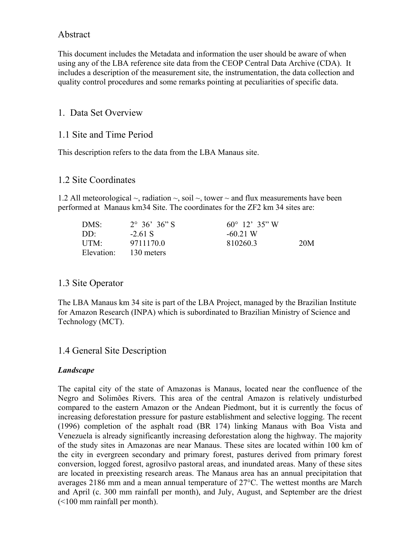## Abstract

This document includes the Metadata and information the user should be aware of when using any of the LBA reference site data from the CEOP Central Data Archive (CDA). It includes a description of the measurement site, the instrumentation, the data collection and quality control procedures and some remarks pointing at peculiarities of specific data.

## 1. Data Set Overview

## 1.1 Site and Time Period

This description refers to the data from the LBA Manaus site.

#### 1.2 Site Coordinates

1.2 All meteorological  $\sim$ , radiation  $\sim$ , soil  $\sim$ , tower  $\sim$  and flux measurements have been performed at Manaus km34 Site. The coordinates for the ZF2 km 34 sites are:

| DMS:       | $2^{\circ}$ 36' 36" S | $60^{\circ}$ 12' 35" W |     |
|------------|-----------------------|------------------------|-----|
| DD:        | $-261$ S              | $-6021W$               |     |
| UTM:       | 97111700              | 8102603                | 20M |
| Elevation: | 130 meters            |                        |     |

## 1.3 Site Operator

The LBA Manaus km 34 site is part of the LBA Project, managed by the Brazilian Institute for Amazon Research (INPA) which is subordinated to Brazilian Ministry of Science and Technology (MCT).

## 1.4 General Site Description

#### *Landscape*

The capital city of the state of Amazonas is Manaus, located near the confluence of the Negro and Solimões Rivers. This area of the central Amazon is relatively undisturbed compared to the eastern Amazon or the Andean Piedmont, but it is currently the focus of increasing deforestation pressure for pasture establishment and selective logging. The recent (1996) completion of the asphalt road (BR 174) linking Manaus with Boa Vista and Venezuela is already significantly increasing deforestation along the highway. The majority of the study sites in Amazonas are near Manaus. These sites are located within 100 km of the city in evergreen secondary and primary forest, pastures derived from primary forest conversion, logged forest, agrosilvo pastoral areas, and inundated areas. Many of these sites are located in preexisting research areas. The Manaus area has an annual precipitation that averages 2186 mm and a mean annual temperature of 27°C. The wettest months are March and April (c. 300 mm rainfall per month), and July, August, and September are the driest (<100 mm rainfall per month).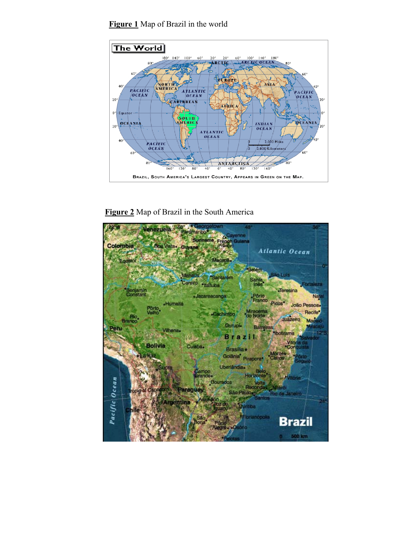



**Figure 2** Map of Brazil in the South America

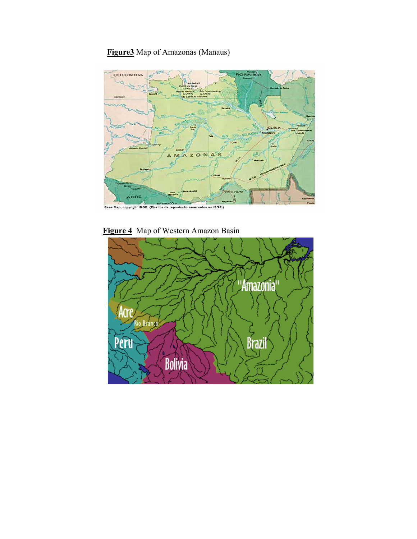# **Figure3** Map of Amazonas (Manaus)



**Figure 4** Map of Western Amazon Basin

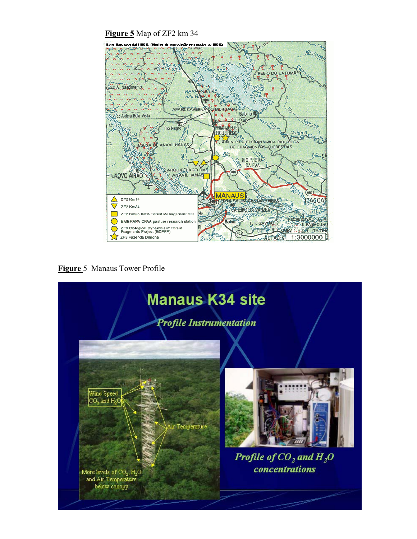**Figure 5** Map of ZF2 km 34



**Figure** 5 Manaus Tower Profile

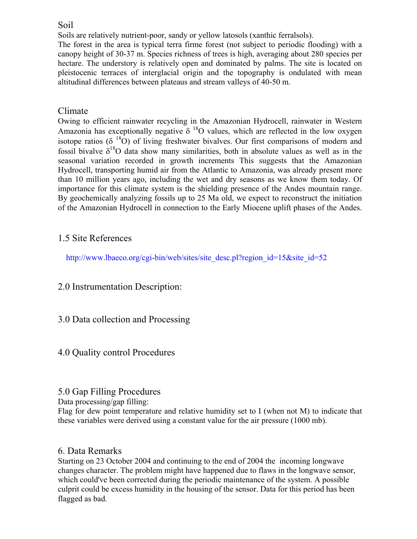## Soil

Soils are relatively nutrient-poor, sandy or yellow latosols (xanthic ferralsols). The forest in the area is typical terra firme forest (not subject to periodic flooding) with a canopy height of 30-37 m. Species richness of trees is high, averaging about 280 species per hectare. The understory is relatively open and dominated by palms. The site is located on pleistocenic terraces of interglacial origin and the topography is ondulated with mean altitudinal differences between plateaus and stream valleys of 40-50 m.

# Climate

Owing to efficient rainwater recycling in the Amazonian Hydrocell, rainwater in Western Amazonia has exceptionally negative  $\delta^{18}$ O values, which are reflected in the low oxygen isotope ratios ( $\delta^{18}$ O) of living freshwater bivalves. Our first comparisons of modern and fossil bivalve  $\delta^{18}O$  data show many similarities, both in absolute values as well as in the seasonal variation recorded in growth increments This suggests that the Amazonian Hydrocell, transporting humid air from the Atlantic to Amazonia, was already present more than 10 million years ago, including the wet and dry seasons as we know them today. Of importance for this climate system is the shielding presence of the Andes mountain range. By geochemically analyzing fossils up to 25 Ma old, we expect to reconstruct the initiation of the Amazonian Hydrocell in connection to the Early Miocene uplift phases of the Andes.

# 1.5 Site References

http://www.lbaeco.org/cgi-bin/web/sites/site\_desc.pl?region\_id=15&site\_id=52

## 2.0 Instrumentation Description:

3.0 Data collection and Processing

## 4.0 Quality control Procedures

## 5.0 Gap Filling Procedures

Data processing/gap filling:

Flag for dew point temperature and relative humidity set to I (when not M) to indicate that these variables were derived using a constant value for the air pressure (1000 mb).

## 6. Data Remarks

Starting on 23 October 2004 and continuing to the end of 2004 the incoming longwave changes character. The problem might have happened due to flaws in the longwave sensor, which could've been corrected during the periodic maintenance of the system. A possible culprit could be excess humidity in the housing of the sensor. Data for this period has been flagged as bad.